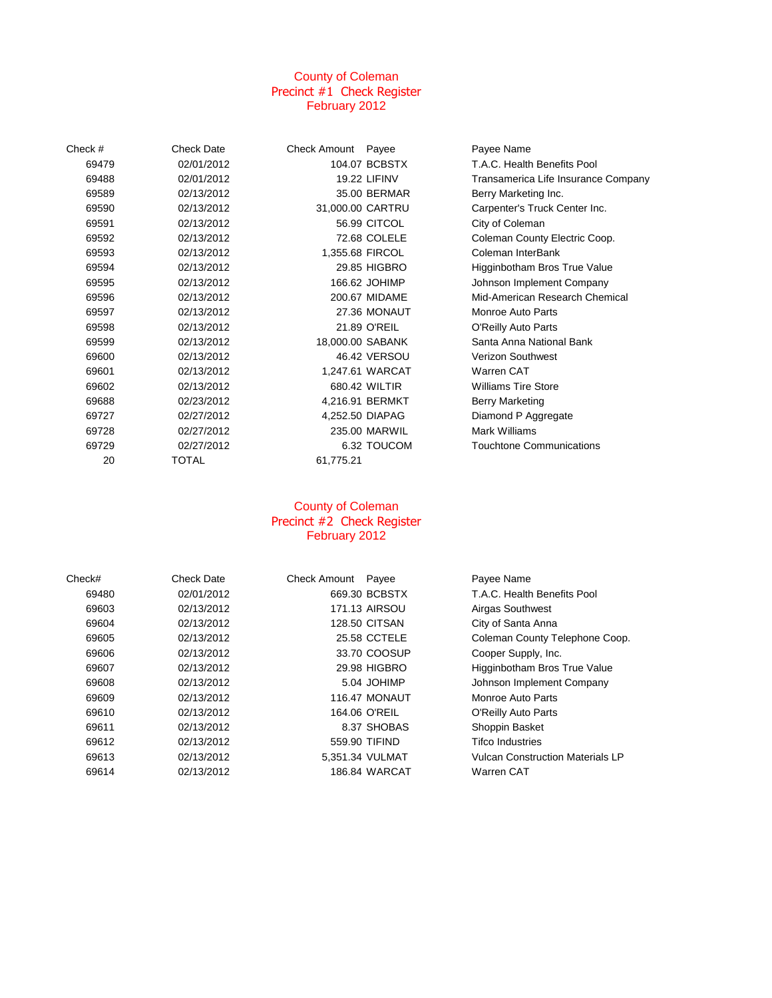# County of Coleman Precinct #1 Check Register February 2012

| Check # | <b>Check Date</b> | Check Amount Payee |                     | Payee Name                          |
|---------|-------------------|--------------------|---------------------|-------------------------------------|
| 69479   | 02/01/2012        |                    | 104.07 BCBSTX       | T.A.C. Health Benefits Pool         |
| 69488   | 02/01/2012        |                    | <b>19.22 LIFINV</b> | Transamerica Life Insurance Company |
| 69589   | 02/13/2012        |                    | 35.00 BERMAR        | Berry Marketing Inc.                |
| 69590   | 02/13/2012        | 31,000.00 CARTRU   |                     | Carpenter's Truck Center Inc.       |
| 69591   | 02/13/2012        |                    | 56.99 CITCOL        | City of Coleman                     |
| 69592   | 02/13/2012        |                    | 72.68 COLELE        | Coleman County Electric Coop.       |
| 69593   | 02/13/2012        |                    | 1,355.68 FIRCOL     | Coleman InterBank                   |
| 69594   | 02/13/2012        |                    | 29.85 HIGBRO        | Higginbotham Bros True Value        |
| 69595   | 02/13/2012        |                    | 166.62 JOHIMP       | Johnson Implement Company           |
| 69596   | 02/13/2012        |                    | 200.67 MIDAME       | Mid-American Research Chemical      |
| 69597   | 02/13/2012        |                    | 27.36 MONAUT        | Monroe Auto Parts                   |
| 69598   | 02/13/2012        |                    | 21.89 O'REIL        | O'Reilly Auto Parts                 |
| 69599   | 02/13/2012        |                    | 18,000.00 SABANK    | Santa Anna National Bank            |
| 69600   | 02/13/2012        |                    | 46.42 VERSOU        | <b>Verizon Southwest</b>            |
| 69601   | 02/13/2012        |                    | 1,247.61 WARCAT     | <b>Warren CAT</b>                   |
| 69602   | 02/13/2012        |                    | 680.42 WILTIR       | <b>Williams Tire Store</b>          |
| 69688   | 02/23/2012        |                    | 4,216.91 BERMKT     | Berry Marketing                     |
| 69727   | 02/27/2012        |                    | 4,252.50 DIAPAG     | Diamond P Aggregate                 |
| 69728   | 02/27/2012        |                    | 235.00 MARWIL       | Mark Williams                       |
| 69729   | 02/27/2012        |                    | 6.32 TOUCOM         | <b>Touchtone Communications</b>     |
| 20      | TOTAL             | 61,775.21          |                     |                                     |

## County of Coleman Precinct #2 Check Register February 2012

| Check# | <b>Check Date</b> | Check Amount Payee |                      | Payee Name                              |
|--------|-------------------|--------------------|----------------------|-----------------------------------------|
| 69480  | 02/01/2012        |                    | 669.30 BCBSTX        | T.A.C. Health Benefits Pool             |
| 69603  | 02/13/2012        |                    | 171.13 AIRSOU        | Airgas Southwest                        |
| 69604  | 02/13/2012        |                    | <b>128.50 CITSAN</b> | City of Santa Anna                      |
| 69605  | 02/13/2012        |                    | 25.58 CCTELE         | Coleman County Telephone Coop.          |
| 69606  | 02/13/2012        |                    | 33.70 COOSUP         | Cooper Supply, Inc.                     |
| 69607  | 02/13/2012        |                    | 29.98 HIGBRO         | Higginbotham Bros True Value            |
| 69608  | 02/13/2012        |                    | 5.04 JOHIMP          | Johnson Implement Company               |
| 69609  | 02/13/2012        |                    | 116.47 MONAUT        | Monroe Auto Parts                       |
| 69610  | 02/13/2012        |                    | 164.06 O'REIL        | O'Reilly Auto Parts                     |
| 69611  | 02/13/2012        |                    | 8.37 SHOBAS          | Shoppin Basket                          |
| 69612  | 02/13/2012        |                    | 559.90 TIFIND        | <b>Tifco Industries</b>                 |
| 69613  | 02/13/2012        |                    | 5.351.34 VULMAT      | <b>Vulcan Construction Materials LP</b> |
| 69614  | 02/13/2012        |                    | 186.84 WARCAT        | Warren CAT                              |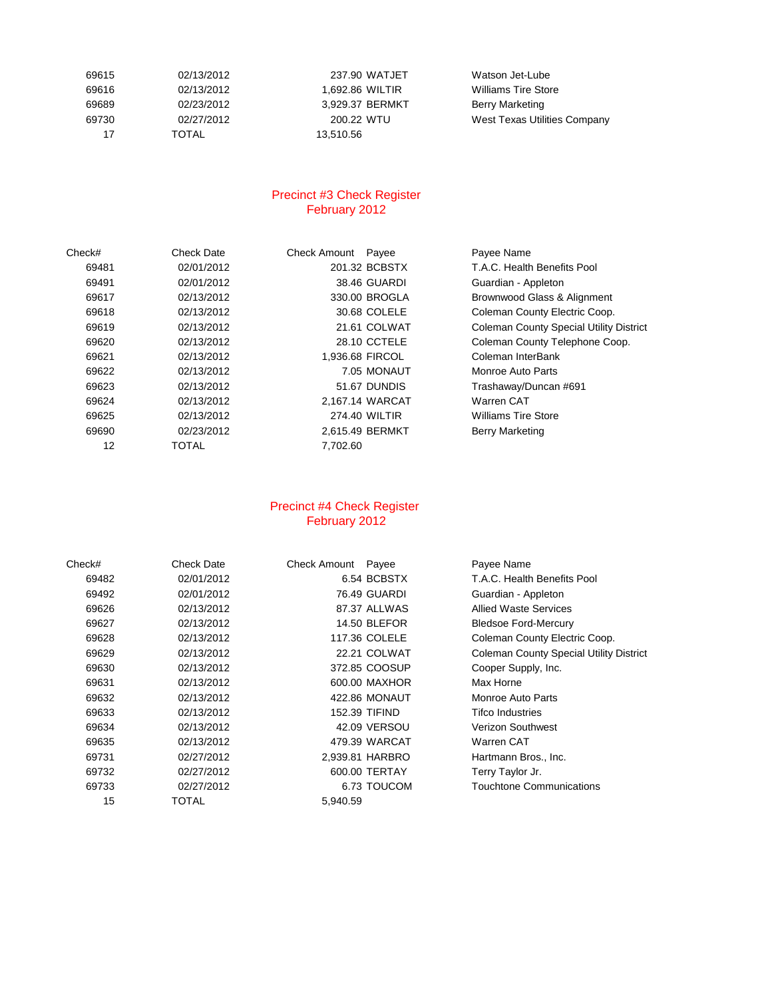| 69615 | 02/13/2012   | 237.90    |
|-------|--------------|-----------|
| 69616 | 02/13/2012   | 1.692.86  |
| 69689 | 02/23/2012   | 3.929.37  |
| 69730 | 02/27/2012   | 200.22    |
| 17    | <b>TOTAL</b> | 13.510.56 |

237.90 WATJET Watson Jet-Lube 3,929.37 BERMKT Berry Marketing

 02/13/2012 1,692.86 WILTIR Williams Tire Store 200.22 WTU West Texas Utilities Company

## Precinct #3 Check Register February 2012

| Check# | Check Date | <b>Check Amount</b> | Payee           | Payee Name                                     |
|--------|------------|---------------------|-----------------|------------------------------------------------|
| 69481  | 02/01/2012 |                     | 201.32 BCBSTX   | T.A.C. Health Benefits Pool                    |
| 69491  | 02/01/2012 |                     | 38.46 GUARDI    | Guardian - Appleton                            |
| 69617  | 02/13/2012 |                     | 330.00 BROGLA   | Brownwood Glass & Alignment                    |
| 69618  | 02/13/2012 |                     | 30.68 COLELE    | Coleman County Electric Coop.                  |
| 69619  | 02/13/2012 |                     | 21.61 COLWAT    | <b>Coleman County Special Utility District</b> |
| 69620  | 02/13/2012 |                     | 28.10 CCTELE    | Coleman County Telephone Coop.                 |
| 69621  | 02/13/2012 | 1,936.68 FIRCOL     |                 | Coleman InterBank                              |
| 69622  | 02/13/2012 |                     | 7.05 MONAUT     | Monroe Auto Parts                              |
| 69623  | 02/13/2012 |                     | 51.67 DUNDIS    | Trashaway/Duncan #691                          |
| 69624  | 02/13/2012 |                     | 2,167.14 WARCAT | Warren CAT                                     |
| 69625  | 02/13/2012 |                     | 274.40 WILTIR   | <b>Williams Tire Store</b>                     |
| 69690  | 02/23/2012 | 2.615.49 BERMKT     |                 | <b>Berry Marketing</b>                         |
| 12     | TOTAL      | 7.702.60            |                 |                                                |

# Precinct #4 Check Register February 2012

| Check# | <b>Check Date</b> | <b>Check Amount</b> | Payee               | Payee Name                                     |
|--------|-------------------|---------------------|---------------------|------------------------------------------------|
| 69482  | 02/01/2012        |                     | 6.54 BCBSTX         | T.A.C. Health Benefits Pool                    |
| 69492  | 02/01/2012        |                     | 76.49 GUARDI        | Guardian - Appleton                            |
| 69626  | 02/13/2012        |                     | 87.37 ALLWAS        | <b>Allied Waste Services</b>                   |
| 69627  | 02/13/2012        |                     | <b>14.50 BLEFOR</b> | <b>Bledsoe Ford-Mercury</b>                    |
| 69628  | 02/13/2012        |                     | 117.36 COLELE       | Coleman County Electric Coop.                  |
| 69629  | 02/13/2012        |                     | 22.21 COLWAT        | <b>Coleman County Special Utility District</b> |
| 69630  | 02/13/2012        |                     | 372.85 COOSUP       | Cooper Supply, Inc.                            |
| 69631  | 02/13/2012        |                     | 600.00 MAXHOR       | Max Horne                                      |
| 69632  | 02/13/2012        |                     | 422.86 MONAUT       | Monroe Auto Parts                              |
| 69633  | 02/13/2012        |                     | 152.39 TIFIND       | <b>Tifco Industries</b>                        |
| 69634  | 02/13/2012        |                     | 42.09 VERSOU        | Verizon Southwest                              |
| 69635  | 02/13/2012        |                     | 479.39 WARCAT       | Warren CAT                                     |
| 69731  | 02/27/2012        |                     | 2,939.81 HARBRO     | Hartmann Bros., Inc.                           |
| 69732  | 02/27/2012        |                     | 600.00 TERTAY       | Terry Taylor Jr.                               |
| 69733  | 02/27/2012        |                     | 6.73 TOUCOM         | Touchtone Communications                       |
| 15     | TOTAL             | 5,940.59            |                     |                                                |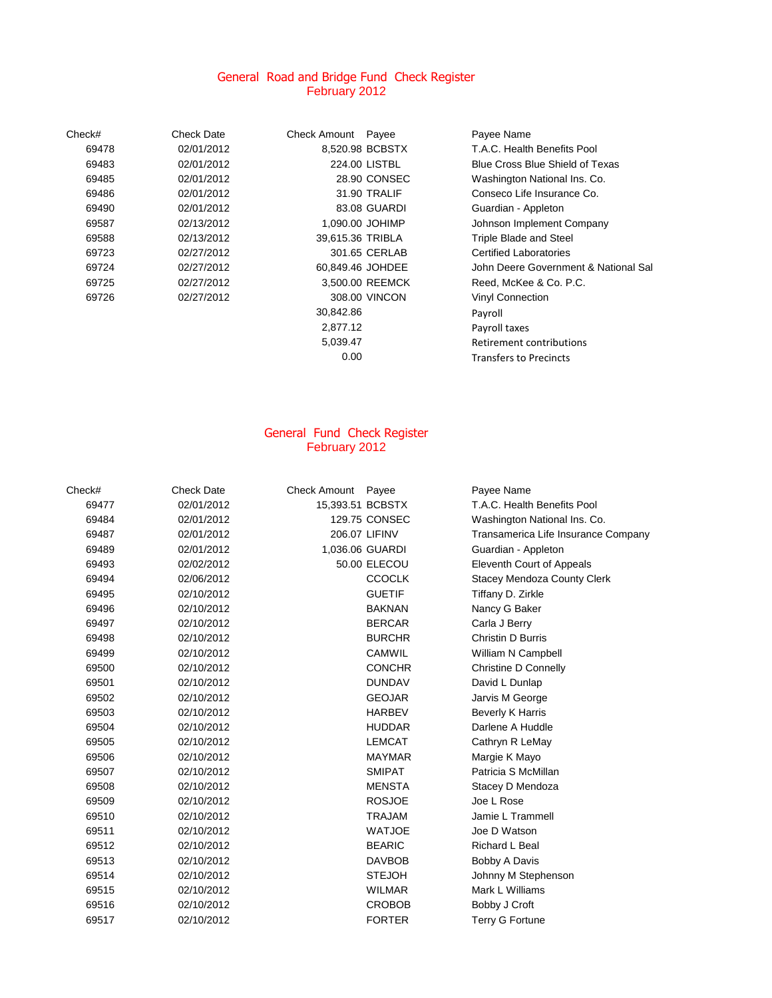#### General Road and Bridge Fund Check Register February 2012

| Check# | <b>Check Date</b> | Check Amount     | Payee           | Payee Name                           |
|--------|-------------------|------------------|-----------------|--------------------------------------|
| 69478  | 02/01/2012        |                  | 8.520.98 BCBSTX | T.A.C. Health Benefits Pool          |
| 69483  | 02/01/2012        |                  | 224.00 LISTBL   | Blue Cross Blue Shield of Texas      |
| 69485  | 02/01/2012        |                  | 28.90 CONSEC    | Washington National Ins. Co.         |
| 69486  | 02/01/2012        |                  | 31.90 TRALIF    | Conseco Life Insurance Co.           |
| 69490  | 02/01/2012        |                  | 83.08 GUARDI    | Guardian - Appleton                  |
| 69587  | 02/13/2012        |                  | 1,090.00 JOHIMP | Johnson Implement Company            |
| 69588  | 02/13/2012        | 39,615.36 TRIBLA |                 | <b>Triple Blade and Steel</b>        |
| 69723  | 02/27/2012        |                  | 301.65 CERLAB   | <b>Certified Laboratories</b>        |
| 69724  | 02/27/2012        | 60,849.46 JOHDEE |                 | John Deere Government & National Sal |
| 69725  | 02/27/2012        |                  | 3,500.00 REEMCK | Reed, McKee & Co. P.C.               |
| 69726  | 02/27/2012        |                  | 308.00 VINCON   | <b>Vinyl Connection</b>              |
|        |                   | 30,842.86        |                 | Payroll                              |
|        |                   | 2,877.12         |                 | Payroll taxes                        |
|        |                   | 5,039.47         |                 | Retirement contributions             |
|        |                   | 0.00             |                 | <b>Transfers to Precincts</b>        |

#### General Fund Check Register February 2012

| Check# | <b>Check Date</b> | Check Amount Payee |                 | Payee Name                          |
|--------|-------------------|--------------------|-----------------|-------------------------------------|
| 69477  | 02/01/2012        | 15,393.51 BCBSTX   |                 | T.A.C. Health Benefits Pool         |
| 69484  | 02/01/2012        |                    | 129.75 CONSEC   | Washington National Ins. Co.        |
| 69487  | 02/01/2012        |                    | 206.07 LIFINV   | Transamerica Life Insurance Company |
| 69489  | 02/01/2012        |                    | 1,036.06 GUARDI | Guardian - Appleton                 |
| 69493  | 02/02/2012        |                    | 50.00 ELECOU    | Eleventh Court of Appeals           |
| 69494  | 02/06/2012        |                    | <b>CCOCLK</b>   | <b>Stacey Mendoza County Clerk</b>  |
| 69495  | 02/10/2012        |                    | <b>GUETIF</b>   | Tiffany D. Zirkle                   |
| 69496  | 02/10/2012        |                    | <b>BAKNAN</b>   | Nancy G Baker                       |
| 69497  | 02/10/2012        |                    | <b>BERCAR</b>   | Carla J Berry                       |
| 69498  | 02/10/2012        |                    | <b>BURCHR</b>   | Christin D Burris                   |
| 69499  | 02/10/2012        |                    | <b>CAMWIL</b>   | William N Campbell                  |
| 69500  | 02/10/2012        |                    | <b>CONCHR</b>   | <b>Christine D Connelly</b>         |
| 69501  | 02/10/2012        |                    | <b>DUNDAV</b>   | David L Dunlap                      |
| 69502  | 02/10/2012        |                    | <b>GEOJAR</b>   | Jarvis M George                     |
| 69503  | 02/10/2012        |                    | <b>HARBEV</b>   | <b>Beverly K Harris</b>             |
| 69504  | 02/10/2012        |                    | <b>HUDDAR</b>   | Darlene A Huddle                    |
| 69505  | 02/10/2012        |                    | <b>LEMCAT</b>   | Cathryn R LeMay                     |
| 69506  | 02/10/2012        |                    | <b>MAYMAR</b>   | Margie K Mayo                       |
| 69507  | 02/10/2012        |                    | <b>SMIPAT</b>   | Patricia S McMillan                 |
| 69508  | 02/10/2012        |                    | <b>MENSTA</b>   | Stacey D Mendoza                    |
| 69509  | 02/10/2012        |                    | <b>ROSJOE</b>   | Joe L Rose                          |
| 69510  | 02/10/2012        |                    | <b>TRAJAM</b>   | Jamie L Trammell                    |
| 69511  | 02/10/2012        |                    | <b>WATJOE</b>   | Joe D Watson                        |
| 69512  | 02/10/2012        |                    | <b>BEARIC</b>   | <b>Richard L Beal</b>               |
| 69513  | 02/10/2012        |                    | <b>DAVBOB</b>   | Bobby A Davis                       |
| 69514  | 02/10/2012        |                    | <b>STEJOH</b>   | Johnny M Stephenson                 |
| 69515  | 02/10/2012        |                    | <b>WILMAR</b>   | Mark L Williams                     |
| 69516  | 02/10/2012        |                    | <b>CROBOB</b>   | Bobby J Croft                       |
| 69517  | 02/10/2012        |                    | <b>FORTER</b>   | <b>Terry G Fortune</b>              |
|        |                   |                    |                 |                                     |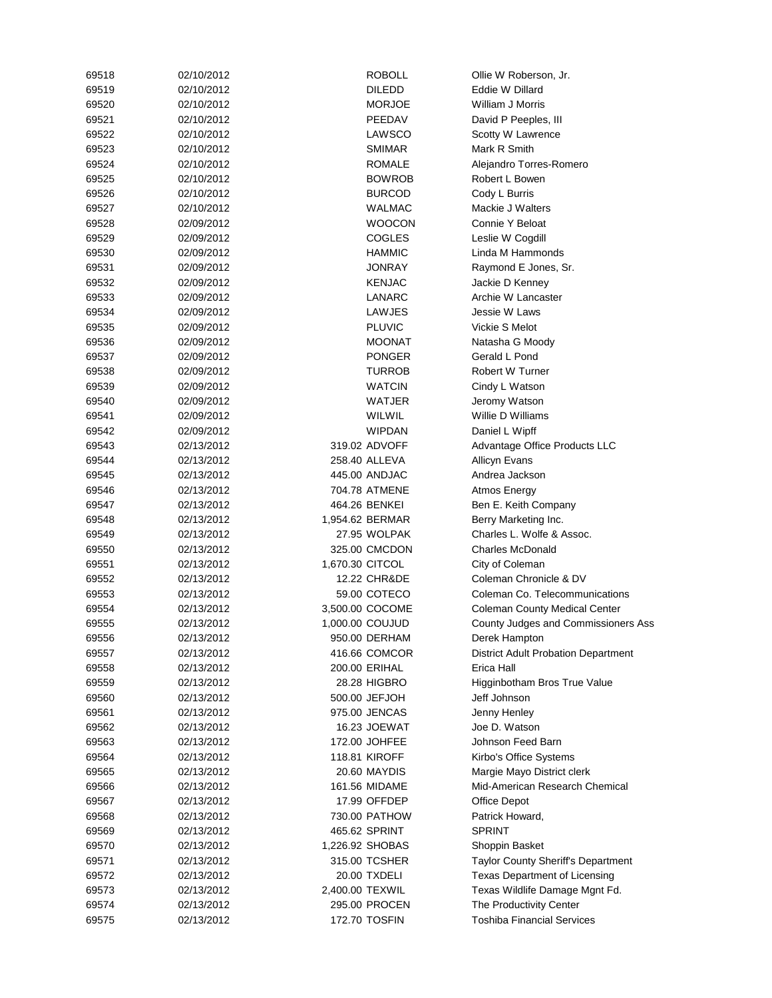| 69518 | 02/10/2012 | <b>ROBOLL</b>        | Ollie W Roberson, Jr.                      |
|-------|------------|----------------------|--------------------------------------------|
| 69519 | 02/10/2012 | <b>DILEDD</b>        | Eddie W Dillard                            |
| 69520 | 02/10/2012 | <b>MORJOE</b>        | William J Morris                           |
| 69521 | 02/10/2012 | PEEDAV               | David P Peeples, III                       |
| 69522 | 02/10/2012 | LAWSCO               | Scotty W Lawrence                          |
| 69523 | 02/10/2012 | SMIMAR               | Mark R Smith                               |
| 69524 | 02/10/2012 | <b>ROMALE</b>        | Alejandro Torres-Romero                    |
| 69525 | 02/10/2012 | <b>BOWROB</b>        | Robert L Bowen                             |
| 69526 | 02/10/2012 | <b>BURCOD</b>        | Cody L Burris                              |
| 69527 | 02/10/2012 | <b>WALMAC</b>        | Mackie J Walters                           |
| 69528 | 02/09/2012 | <b>WOOCON</b>        | Connie Y Beloat                            |
| 69529 | 02/09/2012 | <b>COGLES</b>        | Leslie W Cogdill                           |
| 69530 | 02/09/2012 | <b>HAMMIC</b>        | Linda M Hammonds                           |
| 69531 | 02/09/2012 | JONRAY               | Raymond E Jones, Sr.                       |
| 69532 | 02/09/2012 | <b>KENJAC</b>        | Jackie D Kenney                            |
| 69533 | 02/09/2012 | LANARC               | Archie W Lancaster                         |
| 69534 | 02/09/2012 | LAWJES               | Jessie W Laws                              |
| 69535 | 02/09/2012 | <b>PLUVIC</b>        | Vickie S Melot                             |
| 69536 | 02/09/2012 | <b>MOONAT</b>        | Natasha G Moody                            |
|       |            |                      |                                            |
| 69537 | 02/09/2012 | <b>PONGER</b>        | Gerald L Pond                              |
| 69538 | 02/09/2012 | <b>TURROB</b>        | Robert W Turner                            |
| 69539 | 02/09/2012 | <b>WATCIN</b>        | Cindy L Watson                             |
| 69540 | 02/09/2012 | WATJER               | Jeromy Watson                              |
| 69541 | 02/09/2012 | WILWIL               | Willie D Williams                          |
| 69542 | 02/09/2012 | <b>WIPDAN</b>        | Daniel L Wipff                             |
| 69543 | 02/13/2012 | 319.02 ADVOFF        | Advantage Office Products LLC              |
| 69544 | 02/13/2012 | 258.40 ALLEVA        | <b>Allicyn Evans</b>                       |
| 69545 | 02/13/2012 | 445.00 ANDJAC        | Andrea Jackson                             |
| 69546 | 02/13/2012 | 704.78 ATMENE        | Atmos Energy                               |
| 69547 | 02/13/2012 | 464.26 BENKEI        | Ben E. Keith Company                       |
| 69548 | 02/13/2012 | 1,954.62 BERMAR      | Berry Marketing Inc.                       |
| 69549 | 02/13/2012 | 27.95 WOLPAK         | Charles L. Wolfe & Assoc.                  |
| 69550 | 02/13/2012 | 325.00 CMCDON        | <b>Charles McDonald</b>                    |
| 69551 | 02/13/2012 | 1,670.30 CITCOL      | City of Coleman                            |
| 69552 | 02/13/2012 | 12.22 CHR&DE         | Coleman Chronicle & DV                     |
| 69553 | 02/13/2012 | 59.00 COTECO         | Coleman Co. Telecommunications             |
| 69554 | 02/13/2012 | 3,500.00 COCOME      | <b>Coleman County Medical Center</b>       |
| 69555 | 02/13/2012 | 1,000.00 COUJUD      | County Judges and Commissioners Ass        |
| 69556 | 02/13/2012 | 950.00 DERHAM        | Derek Hampton                              |
| 69557 | 02/13/2012 | 416.66 COMCOR        | <b>District Adult Probation Department</b> |
| 69558 | 02/13/2012 | 200.00 ERIHAL        | Erica Hall                                 |
| 69559 | 02/13/2012 | 28.28 HIGBRO         | Higginbotham Bros True Value               |
| 69560 | 02/13/2012 | 500.00 JEFJOH        | Jeff Johnson                               |
| 69561 | 02/13/2012 | 975.00 JENCAS        | Jenny Henley                               |
| 69562 | 02/13/2012 | 16.23 JOEWAT         | Joe D. Watson                              |
| 69563 | 02/13/2012 | 172.00 JOHFEE        | Johnson Feed Barn                          |
| 69564 | 02/13/2012 | <b>118.81 KIROFF</b> | Kirbo's Office Systems                     |
| 69565 | 02/13/2012 | 20.60 MAYDIS         | Margie Mayo District clerk                 |
| 69566 | 02/13/2012 | 161.56 MIDAME        | Mid-American Research Chemical             |
| 69567 | 02/13/2012 | 17.99 OFFDEP         | Office Depot                               |
| 69568 | 02/13/2012 | 730.00 PATHOW        | Patrick Howard,                            |
| 69569 | 02/13/2012 | 465.62 SPRINT        | <b>SPRINT</b>                              |
|       |            |                      |                                            |
| 69570 | 02/13/2012 | 1,226.92 SHOBAS      | Shoppin Basket                             |
| 69571 | 02/13/2012 | 315.00 TCSHER        | Taylor County Sheriff's Department         |
| 69572 | 02/13/2012 | 20.00 TXDELI         | Texas Department of Licensing              |
| 69573 | 02/13/2012 | 2,400.00 TEXWIL      | Texas Wildlife Damage Mgnt Fd.             |
| 69574 | 02/13/2012 | 295.00 PROCEN        | The Productivity Center                    |
| 69575 | 02/13/2012 | 172.70 TOSFIN        | <b>Toshiba Financial Services</b>          |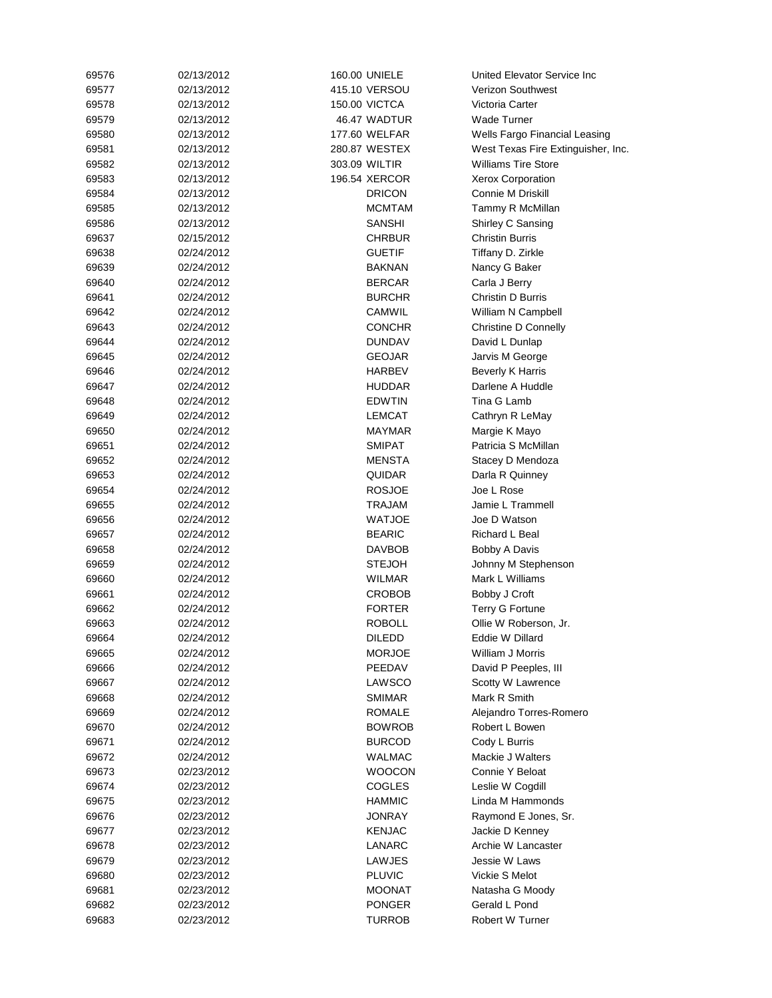| 69576 | 02/13/2012 | 160.00 UNIELE        | United Elevator Service Inc        |
|-------|------------|----------------------|------------------------------------|
| 69577 | 02/13/2012 | 415.10 VERSOU        | <b>Verizon Southwest</b>           |
| 69578 | 02/13/2012 | <b>150.00 VICTCA</b> | Victoria Carter                    |
| 69579 | 02/13/2012 | 46.47 WADTUR         | <b>Wade Turner</b>                 |
| 69580 | 02/13/2012 | 177.60 WELFAR        | Wells Fargo Financial Leasing      |
| 69581 | 02/13/2012 | 280.87 WESTEX        | West Texas Fire Extinguisher, Inc. |
| 69582 | 02/13/2012 | 303.09 WILTIR        | <b>Williams Tire Store</b>         |
| 69583 | 02/13/2012 | 196.54 XERCOR        | Xerox Corporation                  |
| 69584 | 02/13/2012 | <b>DRICON</b>        | Connie M Driskill                  |
| 69585 | 02/13/2012 | <b>MCMTAM</b>        | Tammy R McMillan                   |
| 69586 | 02/13/2012 | SANSHI               | Shirley C Sansing                  |
| 69637 | 02/15/2012 | <b>CHRBUR</b>        | <b>Christin Burris</b>             |
| 69638 | 02/24/2012 | <b>GUETIF</b>        | Tiffany D. Zirkle                  |
| 69639 | 02/24/2012 | <b>BAKNAN</b>        | Nancy G Baker                      |
| 69640 | 02/24/2012 | <b>BERCAR</b>        | Carla J Berry                      |
| 69641 | 02/24/2012 | <b>BURCHR</b>        | Christin D Burris                  |
| 69642 |            | CAMWIL               |                                    |
|       | 02/24/2012 |                      | William N Campbell                 |
| 69643 | 02/24/2012 | <b>CONCHR</b>        | Christine D Connelly               |
| 69644 | 02/24/2012 | <b>DUNDAV</b>        | David L Dunlap                     |
| 69645 | 02/24/2012 | GEOJAR               | Jarvis M George                    |
| 69646 | 02/24/2012 | <b>HARBEV</b>        | <b>Beverly K Harris</b>            |
| 69647 | 02/24/2012 | <b>HUDDAR</b>        | Darlene A Huddle                   |
| 69648 | 02/24/2012 | <b>EDWTIN</b>        | Tina G Lamb                        |
| 69649 | 02/24/2012 | <b>LEMCAT</b>        | Cathryn R LeMay                    |
| 69650 | 02/24/2012 | MAYMAR               | Margie K Mayo                      |
| 69651 | 02/24/2012 | SMIPAT               | Patricia S McMillan                |
| 69652 | 02/24/2012 | <b>MENSTA</b>        | Stacey D Mendoza                   |
| 69653 | 02/24/2012 | <b>QUIDAR</b>        | Darla R Quinney                    |
| 69654 | 02/24/2012 | <b>ROSJOE</b>        | Joe L Rose                         |
| 69655 | 02/24/2012 | TRAJAM               | Jamie L Trammell                   |
| 69656 | 02/24/2012 | <b>WATJOE</b>        | Joe D Watson                       |
| 69657 | 02/24/2012 | <b>BEARIC</b>        | Richard L Beal                     |
| 69658 | 02/24/2012 | <b>DAVBOB</b>        | Bobby A Davis                      |
| 69659 | 02/24/2012 | STEJOH               | Johnny M Stephenson                |
| 69660 | 02/24/2012 | WILMAR               | Mark L Williams                    |
| 69661 | 02/24/2012 | CROBOB               | Bobby J Croft                      |
| 69662 | 02/24/2012 | <b>FORTER</b>        | <b>Terry G Fortune</b>             |
| 69663 | 02/24/2012 | ROBOLL               | Ollie W Roberson, Jr.              |
| 69664 | 02/24/2012 | <b>DILEDD</b>        | Eddie W Dillard                    |
| 69665 | 02/24/2012 | <b>MORJOE</b>        | William J Morris                   |
| 69666 | 02/24/2012 | PEEDAV               | David P Peeples, III               |
| 69667 | 02/24/2012 | LAWSCO               | Scotty W Lawrence                  |
| 69668 | 02/24/2012 | <b>SMIMAR</b>        | Mark R Smith                       |
| 69669 | 02/24/2012 | ROMALE               | Alejandro Torres-Romero            |
| 69670 | 02/24/2012 | <b>BOWROB</b>        | Robert L Bowen                     |
| 69671 | 02/24/2012 | <b>BURCOD</b>        | Cody L Burris                      |
| 69672 | 02/24/2012 | <b>WALMAC</b>        | Mackie J Walters                   |
| 69673 | 02/23/2012 | <b>WOOCON</b>        | Connie Y Beloat                    |
| 69674 | 02/23/2012 | <b>COGLES</b>        | Leslie W Cogdill                   |
| 69675 | 02/23/2012 | <b>HAMMIC</b>        | Linda M Hammonds                   |
| 69676 | 02/23/2012 | <b>JONRAY</b>        | Raymond E Jones, Sr.               |
| 69677 | 02/23/2012 | <b>KENJAC</b>        | Jackie D Kenney                    |
|       |            |                      | Archie W Lancaster                 |
| 69678 | 02/23/2012 | LANARC               |                                    |
| 69679 | 02/23/2012 | LAWJES               | Jessie W Laws                      |
| 69680 | 02/23/2012 | <b>PLUVIC</b>        | Vickie S Melot                     |
| 69681 | 02/23/2012 | MOONAT               | Natasha G Moody                    |
| 69682 | 02/23/2012 | <b>PONGER</b>        | Gerald L Pond                      |
| 69683 | 02/23/2012 | TURROB               | Robert W Turner                    |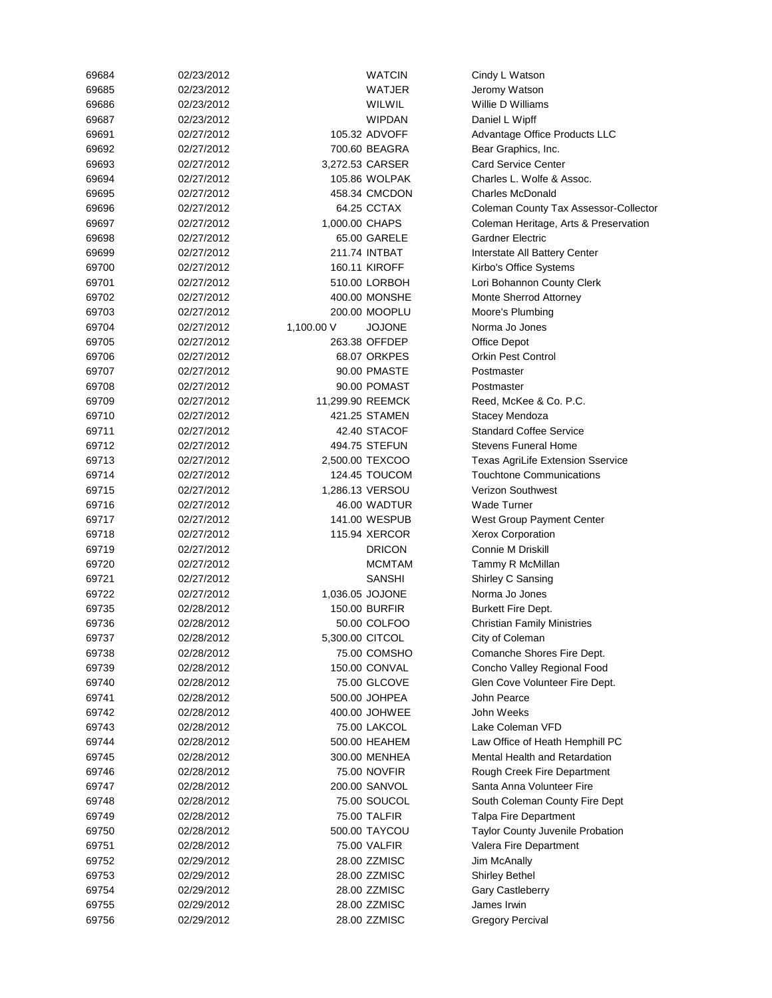| 69684 | 02/23/2012 |                  | WATCIN          | Cindy L Watson                                   |
|-------|------------|------------------|-----------------|--------------------------------------------------|
| 69685 | 02/23/2012 |                  | WATJER          | Jeromy Watson                                    |
| 69686 | 02/23/2012 |                  | WILWIL          | Willie D Williams                                |
| 69687 | 02/23/2012 |                  | <b>WIPDAN</b>   | Daniel L Wipff                                   |
| 69691 | 02/27/2012 |                  | 105.32 ADVOFF   | Advantage Office Products LLC                    |
| 69692 | 02/27/2012 |                  | 700.60 BEAGRA   | Bear Graphics, Inc.                              |
| 69693 | 02/27/2012 |                  | 3,272.53 CARSER | <b>Card Service Center</b>                       |
| 69694 | 02/27/2012 |                  | 105.86 WOLPAK   | Charles L. Wolfe & Assoc.                        |
| 69695 | 02/27/2012 |                  | 458.34 CMCDON   | <b>Charles McDonald</b>                          |
| 69696 | 02/27/2012 |                  | 64.25 CCTAX     | Coleman County Tax Assessor-Collector            |
| 69697 | 02/27/2012 | 1,000.00 CHAPS   |                 | Coleman Heritage, Arts & Preservation            |
| 69698 | 02/27/2012 |                  | 65.00 GARELE    | <b>Gardner Electric</b>                          |
| 69699 | 02/27/2012 |                  | 211.74 INTBAT   | Interstate All Battery Center                    |
| 69700 | 02/27/2012 |                  | 160.11 KIROFF   | Kirbo's Office Systems                           |
| 69701 | 02/27/2012 |                  | 510.00 LORBOH   | Lori Bohannon County Clerk                       |
| 69702 | 02/27/2012 |                  | 400.00 MONSHE   | Monte Sherrod Attorney                           |
| 69703 | 02/27/2012 |                  | 200.00 MOOPLU   | Moore's Plumbing                                 |
| 69704 | 02/27/2012 | 1,100.00 V       | <b>JOJONE</b>   | Norma Jo Jones                                   |
| 69705 | 02/27/2012 |                  | 263.38 OFFDEP   | <b>Office Depot</b>                              |
| 69706 | 02/27/2012 |                  | 68.07 ORKPES    | <b>Orkin Pest Control</b>                        |
| 69707 | 02/27/2012 |                  | 90.00 PMASTE    | Postmaster                                       |
| 69708 | 02/27/2012 |                  | 90.00 POMAST    | Postmaster                                       |
| 69709 | 02/27/2012 | 11,299.90 REEMCK |                 |                                                  |
|       | 02/27/2012 |                  | 421.25 STAMEN   | Reed, McKee & Co. P.C.                           |
| 69710 |            |                  |                 | Stacey Mendoza<br><b>Standard Coffee Service</b> |
| 69711 | 02/27/2012 |                  | 42.40 STACOF    |                                                  |
| 69712 | 02/27/2012 |                  | 494.75 STEFUN   | <b>Stevens Funeral Home</b>                      |
| 69713 | 02/27/2012 |                  | 2,500.00 TEXCOO | Texas AgriLife Extension Sservice                |
| 69714 | 02/27/2012 |                  | 124.45 TOUCOM   | <b>Touchtone Communications</b>                  |
| 69715 | 02/27/2012 |                  | 1,286.13 VERSOU | <b>Verizon Southwest</b>                         |
| 69716 | 02/27/2012 |                  | 46.00 WADTUR    | Wade Turner                                      |
| 69717 | 02/27/2012 |                  | 141.00 WESPUB   | West Group Payment Center                        |
| 69718 | 02/27/2012 |                  | 115.94 XERCOR   | <b>Xerox Corporation</b>                         |
| 69719 | 02/27/2012 |                  | <b>DRICON</b>   | Connie M Driskill                                |
| 69720 | 02/27/2012 |                  | <b>MCMTAM</b>   | Tammy R McMillan                                 |
| 69721 | 02/27/2012 |                  | <b>SANSHI</b>   | Shirley C Sansing                                |
| 69722 | 02/27/2012 |                  | 1,036.05 JOJONE | Norma Jo Jones                                   |
| 69735 | 02/28/2012 |                  | 150.00 BURFIR   | <b>Burkett Fire Dept.</b>                        |
| 69736 | 02/28/2012 |                  | 50.00 COLFOO    | <b>Christian Family Ministries</b>               |
| 69737 | 02/28/2012 | 5,300.00 CITCOL  |                 | City of Coleman                                  |
| 69738 | 02/28/2012 |                  | 75.00 COMSHO    | Comanche Shores Fire Dept.                       |
| 69739 | 02/28/2012 |                  | 150.00 CONVAL   | Concho Valley Regional Food                      |
| 69740 | 02/28/2012 |                  | 75.00 GLCOVE    | Glen Cove Volunteer Fire Dept.                   |
| 69741 | 02/28/2012 |                  | 500.00 JOHPEA   | John Pearce                                      |
| 69742 | 02/28/2012 |                  | 400.00 JOHWEE   | John Weeks                                       |
| 69743 | 02/28/2012 |                  | 75.00 LAKCOL    | Lake Coleman VFD                                 |
| 69744 | 02/28/2012 |                  | 500.00 HEAHEM   | Law Office of Heath Hemphill PC                  |
| 69745 | 02/28/2012 |                  | 300.00 MENHEA   | Mental Health and Retardation                    |
| 69746 | 02/28/2012 |                  | 75.00 NOVFIR    | Rough Creek Fire Department                      |
| 69747 | 02/28/2012 |                  | 200.00 SANVOL   | Santa Anna Volunteer Fire                        |
| 69748 | 02/28/2012 |                  | 75.00 SOUCOL    | South Coleman County Fire Dept                   |
| 69749 | 02/28/2012 |                  | 75.00 TALFIR    | <b>Talpa Fire Department</b>                     |
| 69750 | 02/28/2012 |                  | 500.00 TAYCOU   | Taylor County Juvenile Probation                 |
| 69751 | 02/28/2012 |                  | 75.00 VALFIR    | Valera Fire Department                           |
| 69752 | 02/29/2012 |                  | 28.00 ZZMISC    | Jim McAnally                                     |
| 69753 | 02/29/2012 |                  | 28.00 ZZMISC    | <b>Shirley Bethel</b>                            |
| 69754 | 02/29/2012 |                  | 28.00 ZZMISC    | Gary Castleberry                                 |
| 69755 | 02/29/2012 |                  | 28.00 ZZMISC    | James Irwin                                      |
| 69756 | 02/29/2012 |                  | 28.00 ZZMISC    | <b>Gregory Percival</b>                          |
|       |            |                  |                 |                                                  |